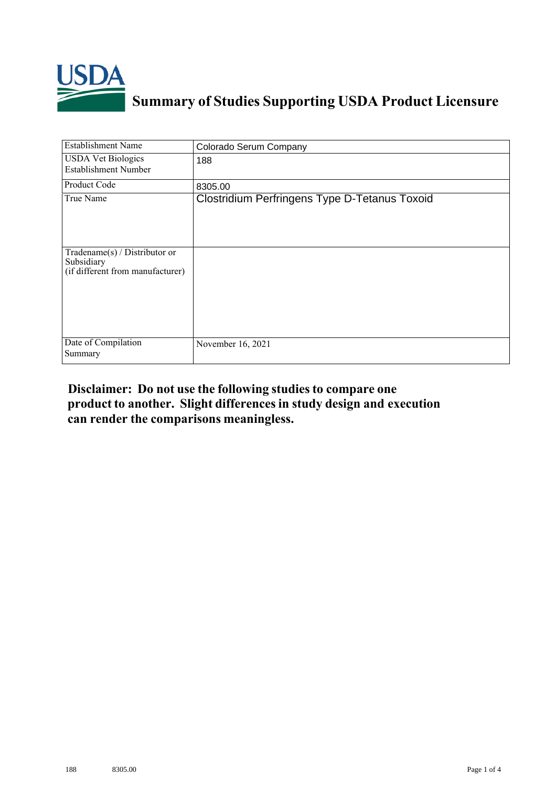

## **Summary of Studies Supporting USDA Product Licensure**

| <b>Establishment Name</b>                                                       | Colorado Serum Company                        |
|---------------------------------------------------------------------------------|-----------------------------------------------|
| <b>USDA Vet Biologics</b><br><b>Establishment Number</b>                        | 188                                           |
| Product Code                                                                    | 8305.00                                       |
| True Name                                                                       | Clostridium Perfringens Type D-Tetanus Toxoid |
| Tradename(s) / Distributor or<br>Subsidiary<br>(if different from manufacturer) |                                               |
| Date of Compilation<br>Summary                                                  | November 16, 2021                             |

## **Disclaimer: Do not use the following studiesto compare one product to another. Slight differencesin study design and execution can render the comparisons meaningless.**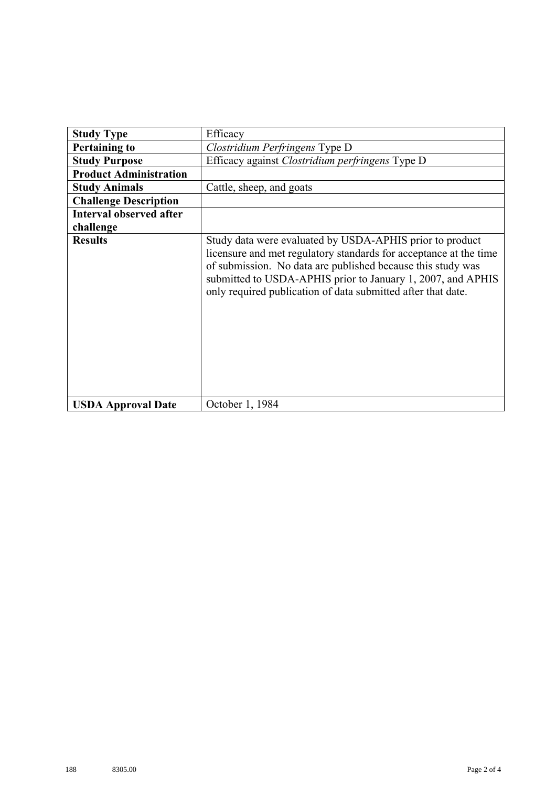| <b>Study Type</b>              | Efficacy                                                                                                                                                                                                                                                                                                                    |
|--------------------------------|-----------------------------------------------------------------------------------------------------------------------------------------------------------------------------------------------------------------------------------------------------------------------------------------------------------------------------|
| <b>Pertaining to</b>           | Clostridium Perfringens Type D                                                                                                                                                                                                                                                                                              |
| <b>Study Purpose</b>           | Efficacy against Clostridium perfringens Type D                                                                                                                                                                                                                                                                             |
| <b>Product Administration</b>  |                                                                                                                                                                                                                                                                                                                             |
| <b>Study Animals</b>           | Cattle, sheep, and goats                                                                                                                                                                                                                                                                                                    |
| <b>Challenge Description</b>   |                                                                                                                                                                                                                                                                                                                             |
| <b>Interval observed after</b> |                                                                                                                                                                                                                                                                                                                             |
| challenge                      |                                                                                                                                                                                                                                                                                                                             |
| <b>Results</b>                 | Study data were evaluated by USDA-APHIS prior to product<br>licensure and met regulatory standards for acceptance at the time<br>of submission. No data are published because this study was<br>submitted to USDA-APHIS prior to January 1, 2007, and APHIS<br>only required publication of data submitted after that date. |
| <b>USDA Approval Date</b>      | October 1, 1984                                                                                                                                                                                                                                                                                                             |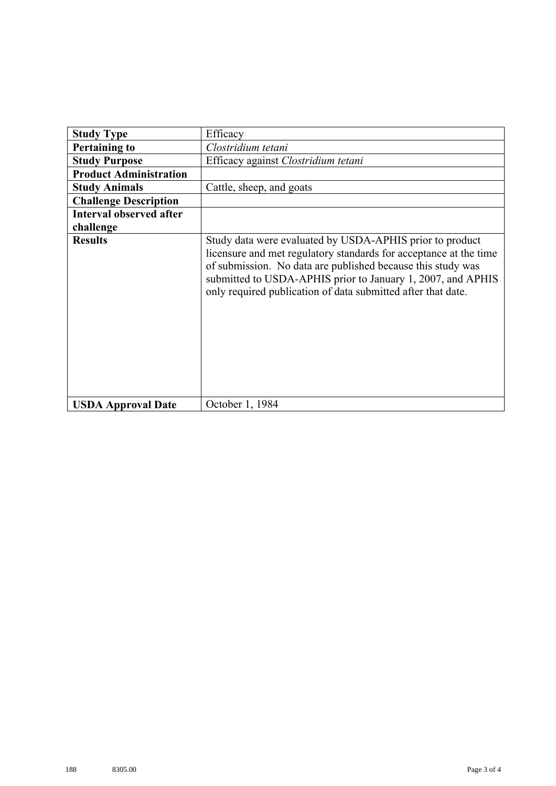| <b>Study Type</b>              | Efficacy                                                                                                                                                                                                                                                                                                                    |
|--------------------------------|-----------------------------------------------------------------------------------------------------------------------------------------------------------------------------------------------------------------------------------------------------------------------------------------------------------------------------|
| <b>Pertaining to</b>           | Clostridium tetani                                                                                                                                                                                                                                                                                                          |
| <b>Study Purpose</b>           | Efficacy against <i>Clostridium tetani</i>                                                                                                                                                                                                                                                                                  |
| <b>Product Administration</b>  |                                                                                                                                                                                                                                                                                                                             |
| <b>Study Animals</b>           | Cattle, sheep, and goats                                                                                                                                                                                                                                                                                                    |
| <b>Challenge Description</b>   |                                                                                                                                                                                                                                                                                                                             |
| <b>Interval observed after</b> |                                                                                                                                                                                                                                                                                                                             |
| challenge                      |                                                                                                                                                                                                                                                                                                                             |
| <b>Results</b>                 | Study data were evaluated by USDA-APHIS prior to product<br>licensure and met regulatory standards for acceptance at the time<br>of submission. No data are published because this study was<br>submitted to USDA-APHIS prior to January 1, 2007, and APHIS<br>only required publication of data submitted after that date. |
| <b>USDA Approval Date</b>      | October 1, 1984                                                                                                                                                                                                                                                                                                             |